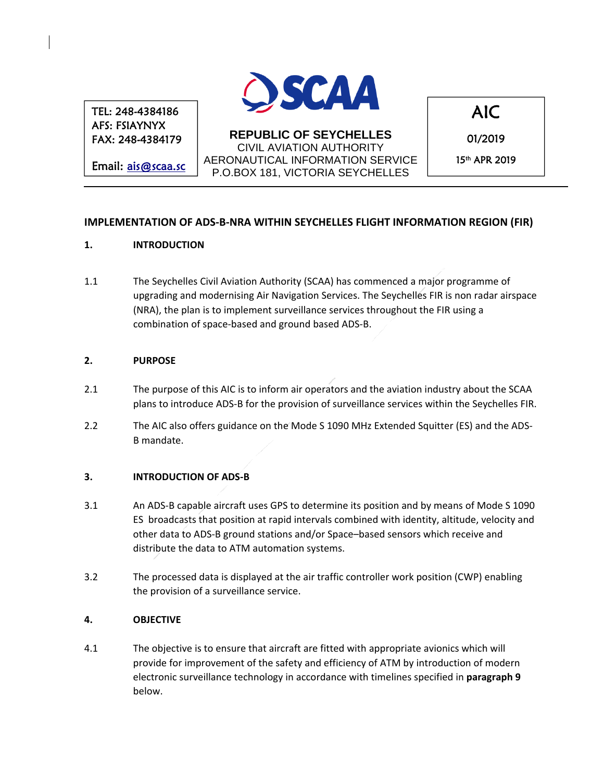TEL: 248-4384186 AFS: FSIAYNYX FAX: 248-4384179

Email: ais@scaa.sc



**REPUBLIC OF SEYCHELLES**  CIVIL AVIATION AUTHORITY AERONAUTICAL INFORMATION SERVICE P.O.BOX 181, VICTORIA SEYCHELLES

AIC

01/2019 15th APR 2019

# **IMPLEMENTATION OF ADS‐B‐NRA WITHIN SEYCHELLES FLIGHT INFORMATION REGION (FIR)**

#### **1. INTRODUCTION**

1.1 The Seychelles Civil Aviation Authority (SCAA) has commenced a major programme of upgrading and modernising Air Navigation Services. The Seychelles FIR is non radar airspace (NRA), the plan is to implement surveillance services throughout the FIR using a combination of space‐based and ground based ADS‐B.

#### **2. PURPOSE**

- 2.1 The purpose of this AIC is to inform air operators and the aviation industry about the SCAA plans to introduce ADS‐B for the provision of surveillance services within the Seychelles FIR.
- 2.2 The AIC also offers guidance on the Mode S 1090 MHz Extended Squitter (ES) and the ADS‐ B mandate.

#### **3. INTRODUCTION OF ADS‐B**

- 3.1 An ADS-B capable aircraft uses GPS to determine its position and by means of Mode S 1090 ES broadcasts that position at rapid intervals combined with identity, altitude, velocity and other data to ADS‐B ground stations and/or Space–based sensors which receive and distribute the data to ATM automation systems.
- 3.2 The processed data is displayed at the air traffic controller work position (CWP) enabling the provision of a surveillance service.

#### **4. OBJECTIVE**

4.1 The objective is to ensure that aircraft are fitted with appropriate avionics which will provide for improvement of the safety and efficiency of ATM by introduction of modern electronic surveillance technology in accordance with timelines specified in **paragraph 9** below.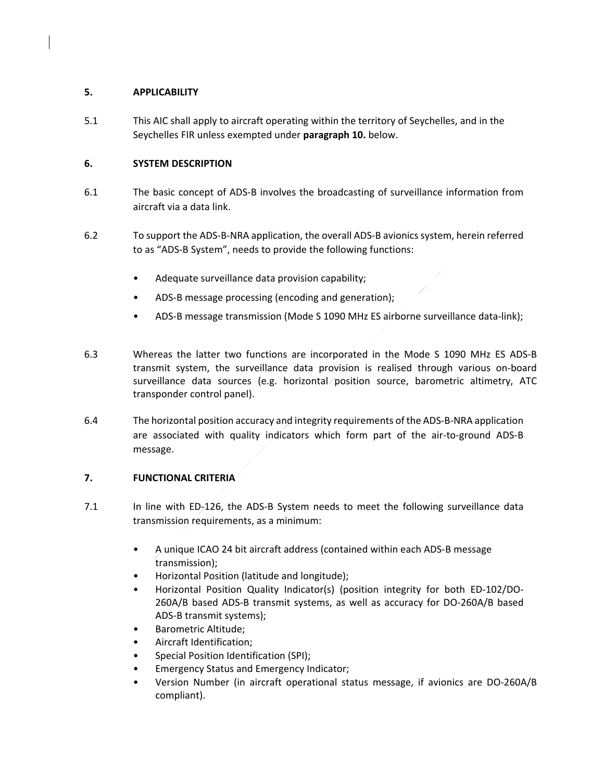## **5. APPLICABILITY**

5.1 This AIC shall apply to aircraft operating within the territory of Seychelles, and in the Seychelles FIR unless exempted under **paragraph 10.** below.

## **6. SYSTEM DESCRIPTION**

- 6.1 The basic concept of ADS‐B involves the broadcasting of surveillance information from aircraft via a data link.
- 6.2 To support the ADS‐B‐NRA application, the overall ADS‐B avionics system, herein referred to as "ADS‐B System", needs to provide the following functions:
	- Adequate surveillance data provision capability;
	- ADS‐B message processing (encoding and generation);
	- ADS‐B message transmission (Mode S 1090 MHz ES airborne surveillance data‐link);
- 6.3 Whereas the latter two functions are incorporated in the Mode S 1090 MHz ES ADS‐B transmit system, the surveillance data provision is realised through various on‐board surveillance data sources (e.g. horizontal position source, barometric altimetry, ATC transponder control panel).
- 6.4 The horizontal position accuracy and integrity requirements of the ADS‐B‐NRA application are associated with quality indicators which form part of the air-to-ground ADS-B message.

# **7. FUNCTIONAL CRITERIA**

- 7.1 In line with ED-126, the ADS-B System needs to meet the following surveillance data transmission requirements, as a minimum:
	- A unique ICAO 24 bit aircraft address (contained within each ADS‐B message transmission);
	- Horizontal Position (latitude and longitude);
	- Horizontal Position Quality Indicator(s) (position integrity for both ED‐102/DO‐ 260A/B based ADS‐B transmit systems, as well as accuracy for DO‐260A/B based ADS‐B transmit systems);
	- Barometric Altitude;
	- Aircraft Identification;
	- Special Position Identification (SPI);
	- Emergency Status and Emergency Indicator;
	- Version Number (in aircraft operational status message, if avionics are DO‐260A/B compliant).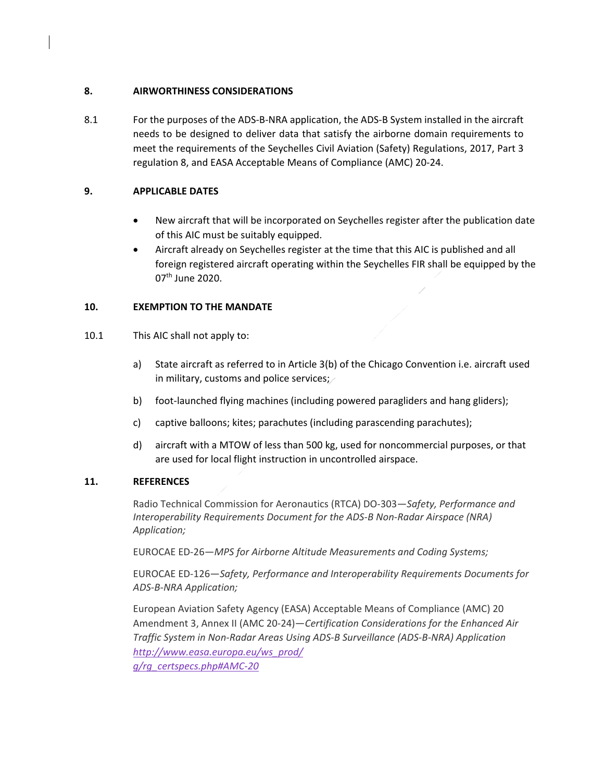#### **8. AIRWORTHINESS CONSIDERATIONS**

8.1 For the purposes of the ADS-B-NRA application, the ADS-B System installed in the aircraft needs to be designed to deliver data that satisfy the airborne domain requirements to meet the requirements of the Seychelles Civil Aviation (Safety) Regulations, 2017, Part 3 regulation 8, and EASA Acceptable Means of Compliance (AMC) 20‐24.

## **9. APPLICABLE DATES**

- New aircraft that will be incorporated on Seychelles register after the publication date of this AIC must be suitably equipped.
- Aircraft already on Seychelles register at the time that this AIC is published and all foreign registered aircraft operating within the Seychelles FIR shall be equipped by the 07<sup>th</sup> June 2020.

# **10. EXEMPTION TO THE MANDATE**

- 10.1 This AIC shall not apply to:
	- a) State aircraft as referred to in Article 3(b) of the Chicago Convention i.e. aircraft used in military, customs and police services;
	- b) foot-launched flying machines (including powered paragliders and hang gliders);
	- c) captive balloons; kites; parachutes (including parascending parachutes);
	- d) aircraft with a MTOW of less than 500 kg, used for noncommercial purposes, or that are used for local flight instruction in uncontrolled airspace.

#### **11. REFERENCES**

Radio Technical Commission for Aeronautics (RTCA) DO‐303—*Safety, Performance and Interoperability Requirements Document for the ADS‐B Non‐Radar Airspace (NRA) Application;*

EUROCAE ED‐26—*MPS for Airborne Altitude Measurements and Coding Systems;*

EUROCAE ED‐126—*Safety, Performance and Interoperability Requirements Documents for ADS‐B‐NRA Application;*

European Aviation Safety Agency (EASA) Acceptable Means of Compliance (AMC) 20 Amendment 3, Annex II (AMC 20‐24)—*Certification Considerations for the Enhanced Air Traffic System in Non‐Radar Areas Using ADS‐B Surveillance (ADS‐B‐NRA) Application http://www.easa.europa.eu/ws\_prod/ g/rg\_certspecs.php#AMC‐20*